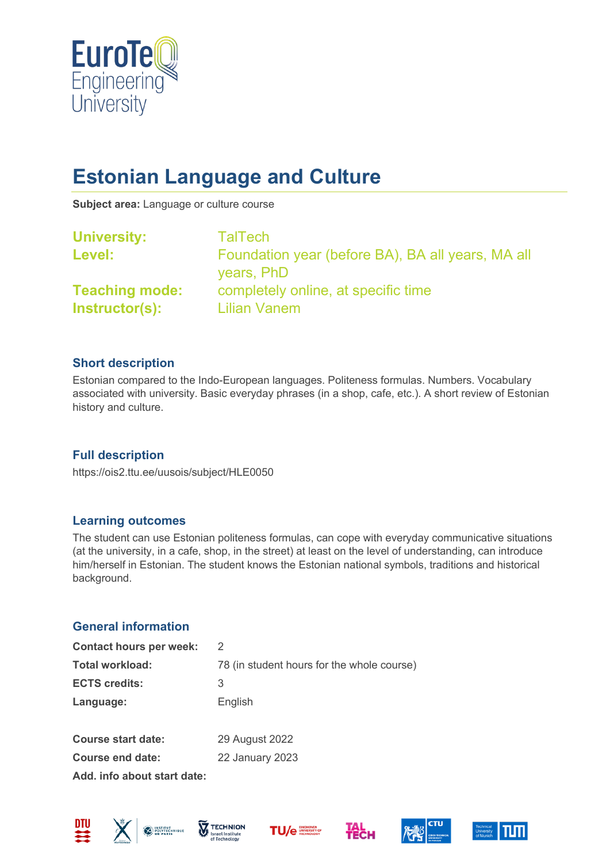

# **Estonian Language and Culture**

**Subject area:** Language or culture course

| <b>TalTech</b>                                                  |
|-----------------------------------------------------------------|
| Foundation year (before BA), BA all years, MA all<br>years, PhD |
| completely online, at specific time<br><b>Lilian Vanem</b>      |
|                                                                 |

## **Short description**

Estonian compared to the Indo-European languages. Politeness formulas. Numbers. Vocabulary associated with university. Basic everyday phrases (in a shop, cafe, etc.). A short review of Estonian history and culture.

## **Full description**

https://ois2.ttu.ee/uusois/subject/HLE0050

#### **Learning outcomes**

The student can use Estonian politeness formulas, can cope with everyday communicative situations (at the university, in a cafe, shop, in the street) at least on the level of understanding, can introduce him/herself in Estonian. The student knows the Estonian national symbols, traditions and historical background.

## **General information**

| <b>Contact hours per week:</b> | 2                                          |
|--------------------------------|--------------------------------------------|
| <b>Total workload:</b>         | 78 (in student hours for the whole course) |
| <b>ECTS credits:</b>           | 3                                          |
| Language:                      | English                                    |
| <b>Course start date:</b>      | 29 August 2022                             |
| <b>Course end date:</b>        | <b>22 January 2023</b>                     |

**Add. info about start date:**











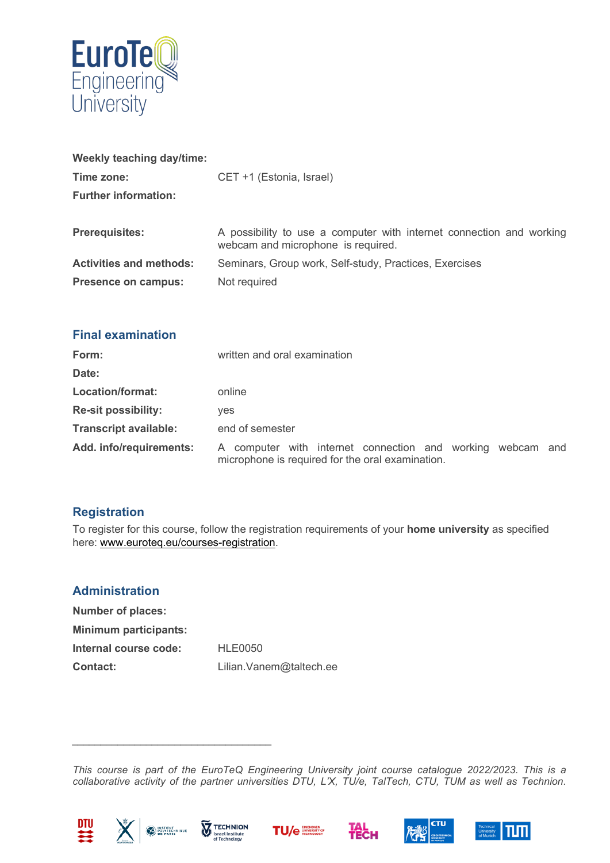

| Weekly teaching day/time:      |                                                                                                            |
|--------------------------------|------------------------------------------------------------------------------------------------------------|
| Time zone:                     | CET +1 (Estonia, Israel)                                                                                   |
| <b>Further information:</b>    |                                                                                                            |
|                                |                                                                                                            |
| <b>Prerequisites:</b>          | A possibility to use a computer with internet connection and working<br>webcam and microphone is required. |
| <b>Activities and methods:</b> | Seminars, Group work, Self-study, Practices, Exercises                                                     |
| <b>Presence on campus:</b>     | Not required                                                                                               |

| <b>Final examination</b> |  |
|--------------------------|--|
|                          |  |

| Form:                        | written and oral examination                                                                                   |  |
|------------------------------|----------------------------------------------------------------------------------------------------------------|--|
| Date:                        |                                                                                                                |  |
| Location/format:             | online                                                                                                         |  |
| <b>Re-sit possibility:</b>   | ves                                                                                                            |  |
| <b>Transcript available:</b> | end of semester                                                                                                |  |
| Add. info/requirements:      | A computer with internet connection and working webcam and<br>microphone is required for the oral examination. |  |

# **Registration**

To register for this course, follow the registration requirements of your **home university** as specified here: [www.euroteq.eu/courses-registration.](http://www.euroteq.eu/courses-registration)

# **Administration**

| <b>Number of places:</b>     |                          |
|------------------------------|--------------------------|
| <b>Minimum participants:</b> |                          |
| Internal course code:        | <b>HLE0050</b>           |
| <b>Contact:</b>              | Lilian. Vanem@taltech.ee |

*This course is part of the EuroTeQ Engineering University joint course catalogue 2022/2023. This is a collaborative activity of the partner universities DTU, L'X, TU/e, TalTech, CTU, TUM as well as Technion.* 





*\_\_\_\_\_\_\_\_\_\_\_\_\_\_\_\_\_\_\_\_\_\_\_\_\_\_\_\_\_\_\_\_\_\_\_*